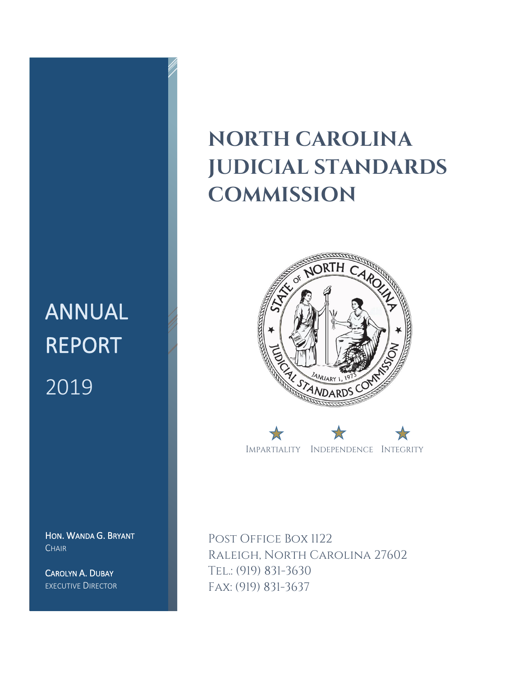# ANNUAL REPORT 2019

HON. WANDA G. BRYANT **CHAIR** 

CAROLYN A. DUBAY EXECUTIVE DIRECTOR

## **NORTH CAROLINA JUDICIAL STANDARDS COMMISSION**





POST OFFICE BOX 1122 Raleigh, North Carolina 27602 Tel.: (919) 831-3630 Fax: (919) 831-3637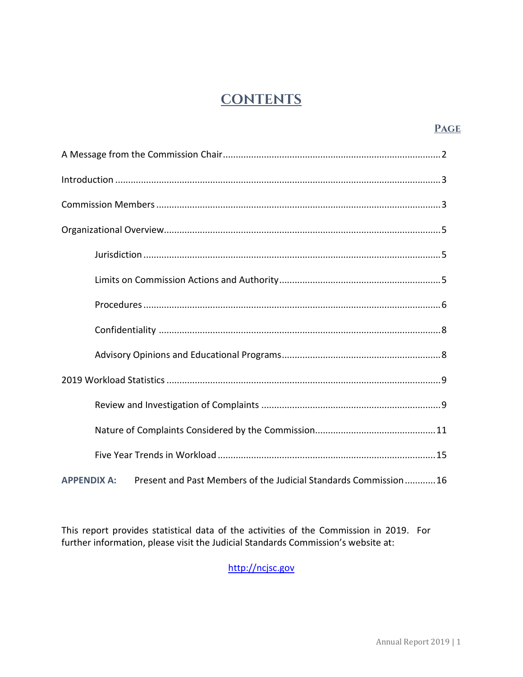## **CONTENTS**

#### **Page**

| Present and Past Members of the Judicial Standards Commission16<br><b>APPENDIX A:</b> |
|---------------------------------------------------------------------------------------|

This report provides statistical data of the activities of the Commission in 2019. For further information, please visit the Judicial Standards Commission's website at:

[http://ncjsc.gov](http://ncjsc.gov/)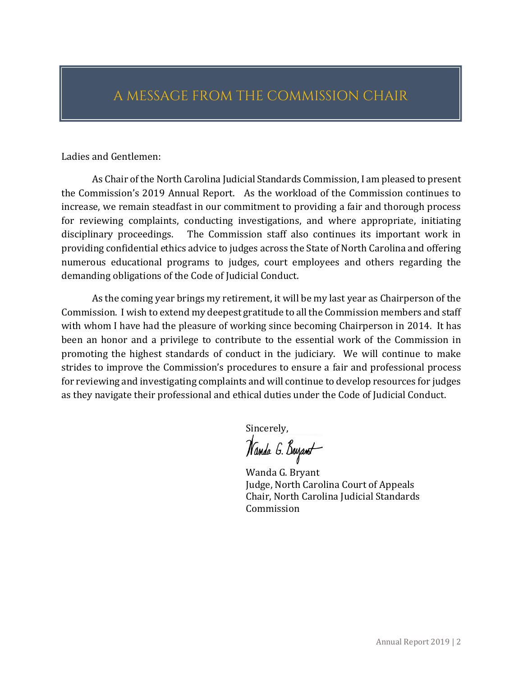## A MESSAGE FROM THE COMMISSION CHAIR

Ladies and Gentlemen:

As Chair of the North Carolina Judicial Standards Commission, I am pleased to present the Commission's 2019 Annual Report. As the workload of the Commission continues to increase, we remain steadfast in our commitment to providing a fair and thorough process for reviewing complaints, conducting investigations, and where appropriate, initiating disciplinary proceedings. The Commission staff also continues its important work in providing confidential ethics advice to judges across the State of North Carolina and offering numerous educational programs to judges, court employees and others regarding the demanding obligations of the Code of Judicial Conduct.

As the coming year brings my retirement, it will be my last year as Chairperson of the Commission. I wish to extend my deepest gratitude to all the Commission members and staff with whom I have had the pleasure of working since becoming Chairperson in 2014. It has been an honor and a privilege to contribute to the essential work of the Commission in promoting the highest standards of conduct in the judiciary. We will continue to make strides to improve the Commission's procedures to ensure a fair and professional process for reviewing and investigating complaints and will continue to develop resources for judges as they navigate their professional and ethical duties under the Code of Judicial Conduct.

Sincerely,<br>*Nanda G. Buyant* 

Wanda G. Bryant Judge, North Carolina Court of Appeals Chair, North Carolina Judicial Standards Commission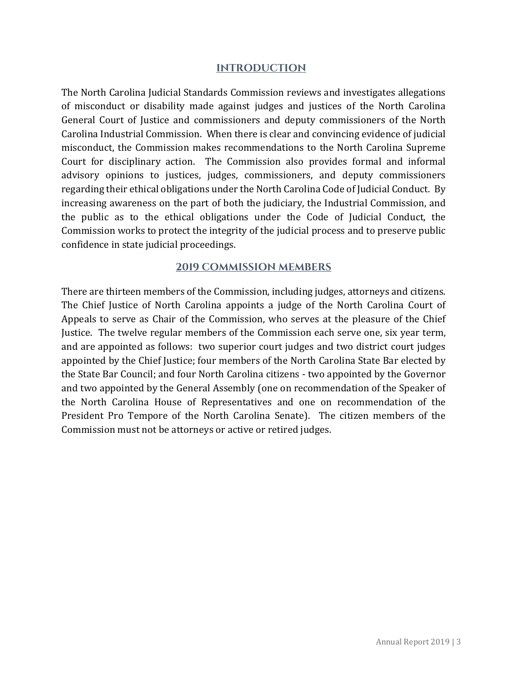#### **INTRODUCTION**

The North Carolina Judicial Standards Commission reviews and investigates allegations of misconduct or disability made against judges and justices of the North Carolina General Court of Justice and commissioners and deputy commissioners of the North Carolina Industrial Commission. When there is clear and convincing evidence of judicial misconduct, the Commission makes recommendations to the North Carolina Supreme Court for disciplinary action. The Commission also provides formal and informal advisory opinions to justices, judges, commissioners, and deputy commissioners regarding their ethical obligations under the North Carolina Code of Judicial Conduct. By increasing awareness on the part of both the judiciary, the Industrial Commission, and the public as to the ethical obligations under the Code of Judicial Conduct, the Commission works to protect the integrity of the judicial process and to preserve public confidence in state judicial proceedings.

#### **2019 COMMISSION MEMBERS**

There are thirteen members of the Commission, including judges, attorneys and citizens. The Chief Justice of North Carolina appoints a judge of the North Carolina Court of Appeals to serve as Chair of the Commission, who serves at the pleasure of the Chief Justice. The twelve regular members of the Commission each serve one, six year term, and are appointed as follows: two superior court judges and two district court judges appointed by the Chief Justice; four members of the North Carolina State Bar elected by the State Bar Council; and four North Carolina citizens - two appointed by the Governor and two appointed by the General Assembly (one on recommendation of the Speaker of the North Carolina House of Representatives and one on recommendation of the President Pro Tempore of the North Carolina Senate). The citizen members of the Commission must not be attorneys or active or retired judges.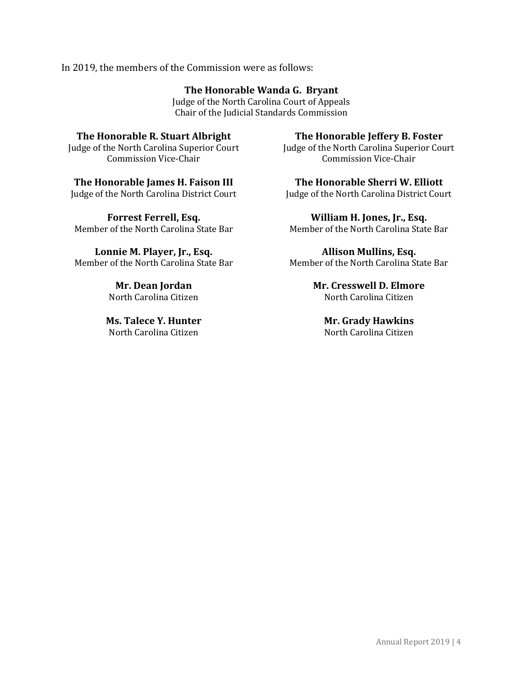#### In 2019, the members of the Commission were as follows:

#### **The Honorable Wanda G. Bryant**

Judge of the North Carolina Court of Appeals Chair of the Judicial Standards Commission

#### **The Honorable R. Stuart Albright**

Judge of the North Carolina Superior Court Commission Vice-Chair

#### **The Honorable James H. Faison III**

Judge of the North Carolina District Court

**Forrest Ferrell, Esq.** Member of the North Carolina State Bar

**Lonnie M. Player, Jr., Esq.** Member of the North Carolina State Bar

> **Mr. Dean Jordan** North Carolina Citizen

**Ms. Talece Y. Hunter**  North Carolina Citizen

#### **The Honorable Jeffery B. Foster**

Judge of the North Carolina Superior Court Commission Vice-Chair

**The Honorable Sherri W. Elliott**

Judge of the North Carolina District Court

**William H. Jones, Jr., Esq.** Member of the North Carolina State Bar

**Allison Mullins, Esq.** Member of the North Carolina State Bar

> **Mr. Cresswell D. Elmore** North Carolina Citizen

**Mr. Grady Hawkins** North Carolina Citizen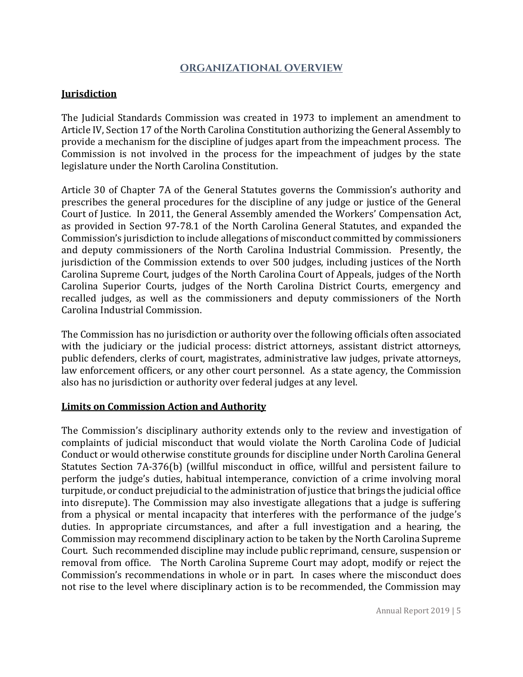#### **ORGANIZATIONAL OVERVIEW**

#### **Jurisdiction**

The Judicial Standards Commission was created in 1973 to implement an amendment to Article IV, Section 17 of the North Carolina Constitution authorizing the General Assembly to provide a mechanism for the discipline of judges apart from the impeachment process. The Commission is not involved in the process for the impeachment of judges by the state legislature under the North Carolina Constitution.

Article 30 of Chapter 7A of the General Statutes governs the Commission's authority and prescribes the general procedures for the discipline of any judge or justice of the General Court of Justice. In 2011, the General Assembly amended the Workers' Compensation Act, as provided in Section 97-78.1 of the North Carolina General Statutes, and expanded the Commission's jurisdiction to include allegations of misconduct committed by commissioners and deputy commissioners of the North Carolina Industrial Commission. Presently, the jurisdiction of the Commission extends to over 500 judges, including justices of the North Carolina Supreme Court, judges of the North Carolina Court of Appeals, judges of the North Carolina Superior Courts, judges of the North Carolina District Courts, emergency and recalled judges, as well as the commissioners and deputy commissioners of the North Carolina Industrial Commission.

The Commission has no jurisdiction or authority over the following officials often associated with the judiciary or the judicial process: district attorneys, assistant district attorneys, public defenders, clerks of court, magistrates, administrative law judges, private attorneys, law enforcement officers, or any other court personnel. As a state agency, the Commission also has no jurisdiction or authority over federal judges at any level.

#### **Limits on Commission Action and Authority**

The Commission's disciplinary authority extends only to the review and investigation of complaints of judicial misconduct that would violate the North Carolina Code of Judicial Conduct or would otherwise constitute grounds for discipline under North Carolina General Statutes Section 7A-376(b) (willful misconduct in office, willful and persistent failure to perform the judge's duties, habitual intemperance, conviction of a crime involving moral turpitude, or conduct prejudicial to the administration of justice that brings the judicial office into disrepute). The Commission may also investigate allegations that a judge is suffering from a physical or mental incapacity that interferes with the performance of the judge's duties. In appropriate circumstances, and after a full investigation and a hearing, the Commission may recommend disciplinary action to be taken by the North Carolina Supreme Court. Such recommended discipline may include public reprimand, censure, suspension or removal from office. The North Carolina Supreme Court may adopt, modify or reject the Commission's recommendations in whole or in part. In cases where the misconduct does not rise to the level where disciplinary action is to be recommended, the Commission may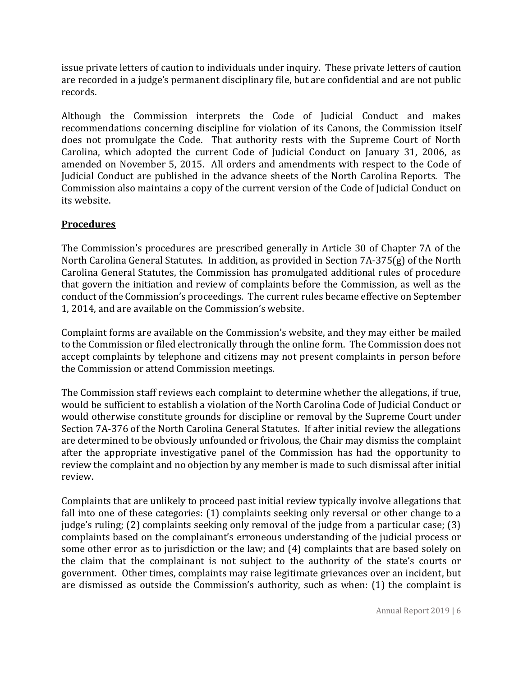issue private letters of caution to individuals under inquiry. These private letters of caution are recorded in a judge's permanent disciplinary file, but are confidential and are not public records.

Although the Commission interprets the Code of Judicial Conduct and makes recommendations concerning discipline for violation of its Canons, the Commission itself does not promulgate the Code. That authority rests with the Supreme Court of North Carolina, which adopted the current Code of Judicial Conduct on January 31, 2006, as amended on November 5, 2015. All orders and amendments with respect to the Code of Judicial Conduct are published in the advance sheets of the North Carolina Reports. The Commission also maintains a copy of the current version of the Code of Judicial Conduct on its website.

#### **Procedures**

The Commission's procedures are prescribed generally in Article 30 of Chapter 7A of the North Carolina General Statutes. In addition, as provided in Section 7A-375(g) of the North Carolina General Statutes, the Commission has promulgated additional rules of procedure that govern the initiation and review of complaints before the Commission, as well as the conduct of the Commission's proceedings. The current rules became effective on September 1, 2014, and are available on the Commission's website.

Complaint forms are available on the Commission's website, and they may either be mailed to the Commission or filed electronically through the online form. The Commission does not accept complaints by telephone and citizens may not present complaints in person before the Commission or attend Commission meetings.

The Commission staff reviews each complaint to determine whether the allegations, if true, would be sufficient to establish a violation of the North Carolina Code of Judicial Conduct or would otherwise constitute grounds for discipline or removal by the Supreme Court under Section 7A-376 of the North Carolina General Statutes. If after initial review the allegations are determined to be obviously unfounded or frivolous, the Chair may dismiss the complaint after the appropriate investigative panel of the Commission has had the opportunity to review the complaint and no objection by any member is made to such dismissal after initial review.

Complaints that are unlikely to proceed past initial review typically involve allegations that fall into one of these categories: (1) complaints seeking only reversal or other change to a judge's ruling; (2) complaints seeking only removal of the judge from a particular case; (3) complaints based on the complainant's erroneous understanding of the judicial process or some other error as to jurisdiction or the law; and (4) complaints that are based solely on the claim that the complainant is not subject to the authority of the state's courts or government. Other times, complaints may raise legitimate grievances over an incident, but are dismissed as outside the Commission's authority, such as when: (1) the complaint is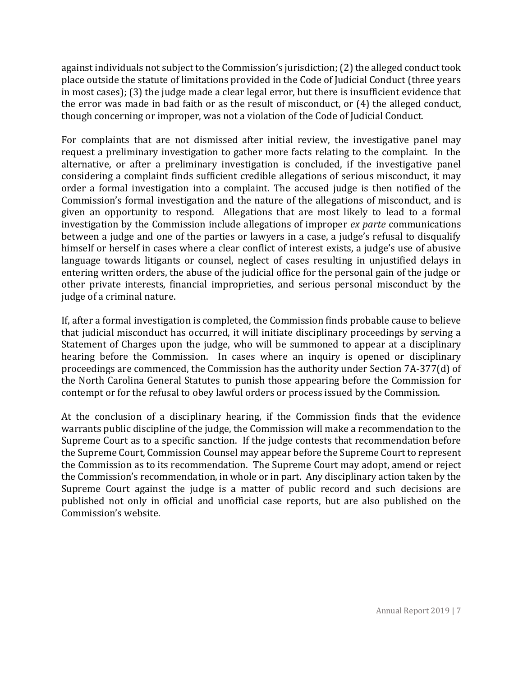against individuals not subject to the Commission's jurisdiction; (2) the alleged conduct took place outside the statute of limitations provided in the Code of Judicial Conduct (three years in most cases); (3) the judge made a clear legal error, but there is insufficient evidence that the error was made in bad faith or as the result of misconduct, or (4) the alleged conduct, though concerning or improper, was not a violation of the Code of Judicial Conduct.

For complaints that are not dismissed after initial review, the investigative panel may request a preliminary investigation to gather more facts relating to the complaint. In the alternative, or after a preliminary investigation is concluded, if the investigative panel considering a complaint finds sufficient credible allegations of serious misconduct, it may order a formal investigation into a complaint. The accused judge is then notified of the Commission's formal investigation and the nature of the allegations of misconduct, and is given an opportunity to respond. Allegations that are most likely to lead to a formal investigation by the Commission include allegations of improper *ex parte* communications between a judge and one of the parties or lawyers in a case, a judge's refusal to disqualify himself or herself in cases where a clear conflict of interest exists, a judge's use of abusive language towards litigants or counsel, neglect of cases resulting in unjustified delays in entering written orders, the abuse of the judicial office for the personal gain of the judge or other private interests, financial improprieties, and serious personal misconduct by the judge of a criminal nature.

If, after a formal investigation is completed, the Commission finds probable cause to believe that judicial misconduct has occurred, it will initiate disciplinary proceedings by serving a Statement of Charges upon the judge, who will be summoned to appear at a disciplinary hearing before the Commission. In cases where an inquiry is opened or disciplinary proceedings are commenced, the Commission has the authority under Section 7A-377(d) of the North Carolina General Statutes to punish those appearing before the Commission for contempt or for the refusal to obey lawful orders or process issued by the Commission.

At the conclusion of a disciplinary hearing, if the Commission finds that the evidence warrants public discipline of the judge, the Commission will make a recommendation to the Supreme Court as to a specific sanction. If the judge contests that recommendation before the Supreme Court, Commission Counsel may appear before the Supreme Court to represent the Commission as to its recommendation. The Supreme Court may adopt, amend or reject the Commission's recommendation, in whole or in part. Any disciplinary action taken by the Supreme Court against the judge is a matter of public record and such decisions are published not only in official and unofficial case reports, but are also published on the Commission's website.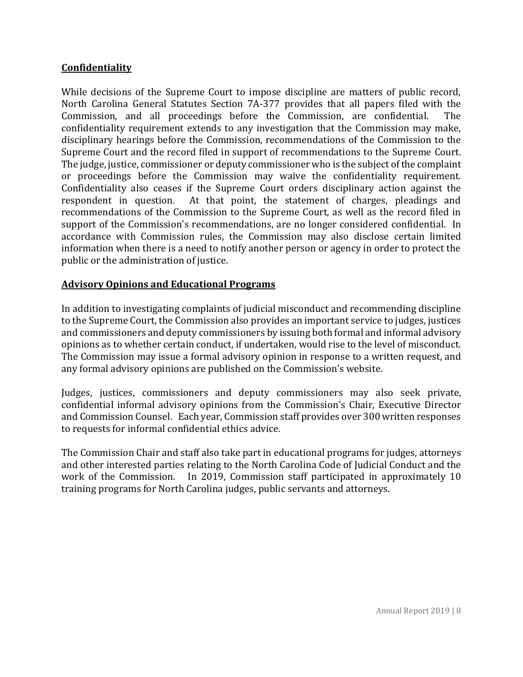#### **Confidentiality**

While decisions of the Supreme Court to impose discipline are matters of public record, North Carolina General Statutes Section 7A-377 provides that all papers filed with the Commission, and all proceedings before the Commission, are confidential. The confidentiality requirement extends to any investigation that the Commission may make, disciplinary hearings before the Commission, recommendations of the Commission to the Supreme Court and the record filed in support of recommendations to the Supreme Court. The judge, justice, commissioner or deputy commissioner who is the subject of the complaint or proceedings before the Commission may waive the confidentiality requirement. Confidentiality also ceases if the Supreme Court orders disciplinary action against the respondent in question. At that point, the statement of charges, pleadings and recommendations of the Commission to the Supreme Court, as well as the record filed in support of the Commission's recommendations, are no longer considered confidential. In accordance with Commission rules, the Commission may also disclose certain limited information when there is a need to notify another person or agency in order to protect the public or the administration of justice.

#### **Advisory Opinions and Educational Programs**

In addition to investigating complaints of judicial misconduct and recommending discipline to the Supreme Court, the Commission also provides an important service to judges, justices and commissioners and deputy commissioners by issuing both formal and informal advisory opinions as to whether certain conduct, if undertaken, would rise to the level of misconduct. The Commission may issue a formal advisory opinion in response to a written request, and any formal advisory opinions are published on the Commission's website.

Judges, justices, commissioners and deputy commissioners may also seek private, confidential informal advisory opinions from the Commission's Chair, Executive Director and Commission Counsel. Each year, Commission staff provides over 300 written responses to requests for informal confidential ethics advice.

The Commission Chair and staff also take part in educational programs for judges, attorneys and other interested parties relating to the North Carolina Code of Judicial Conduct and the work of the Commission. In 2019, Commission staff participated in approximately 10 training programs for North Carolina judges, public servants and attorneys.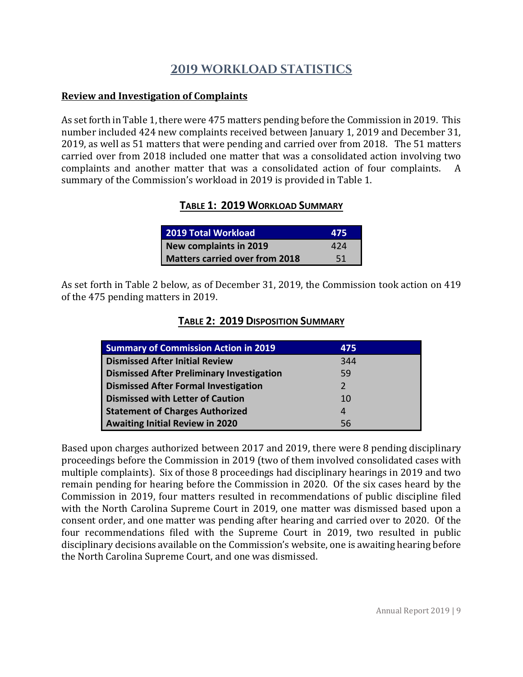### **2019 WORKLOAD STATISTICS**

#### **Review and Investigation of Complaints**

As set forth in Table 1, there were 475 matters pending before the Commission in 2019. This number included 424 new complaints received between January 1, 2019 and December 31, 2019, as well as 51 matters that were pending and carried over from 2018. The 51 matters carried over from 2018 included one matter that was a consolidated action involving two complaints and another matter that was a consolidated action of four complaints. A summary of the Commission's workload in 2019 is provided in Table 1.

#### **TABLE 1: 2019 WORKLOAD SUMMARY**

| <b>2019 Total Workload</b>            | 475 |
|---------------------------------------|-----|
| New complaints in 2019                | 424 |
| <b>Matters carried over from 2018</b> | -51 |

As set forth in Table 2 below, as of December 31, 2019, the Commission took action on 419 of the 475 pending matters in 2019.

| <b>Summary of Commission Action in 2019</b>      | 475           |
|--------------------------------------------------|---------------|
| <b>Dismissed After Initial Review</b>            | 344           |
| <b>Dismissed After Preliminary Investigation</b> | 59            |
| <b>Dismissed After Formal Investigation</b>      | $\mathcal{P}$ |
| <b>Dismissed with Letter of Caution</b>          | 10            |
| <b>Statement of Charges Authorized</b>           | 4             |
| <b>Awaiting Initial Review in 2020</b>           | 56            |

Based upon charges authorized between 2017 and 2019, there were 8 pending disciplinary proceedings before the Commission in 2019 (two of them involved consolidated cases with multiple complaints). Six of those 8 proceedings had disciplinary hearings in 2019 and two remain pending for hearing before the Commission in 2020. Of the six cases heard by the Commission in 2019, four matters resulted in recommendations of public discipline filed with the North Carolina Supreme Court in 2019, one matter was dismissed based upon a consent order, and one matter was pending after hearing and carried over to 2020. Of the four recommendations filed with the Supreme Court in 2019, two resulted in public disciplinary decisions available on the Commission's website, one is awaiting hearing before the North Carolina Supreme Court, and one was dismissed.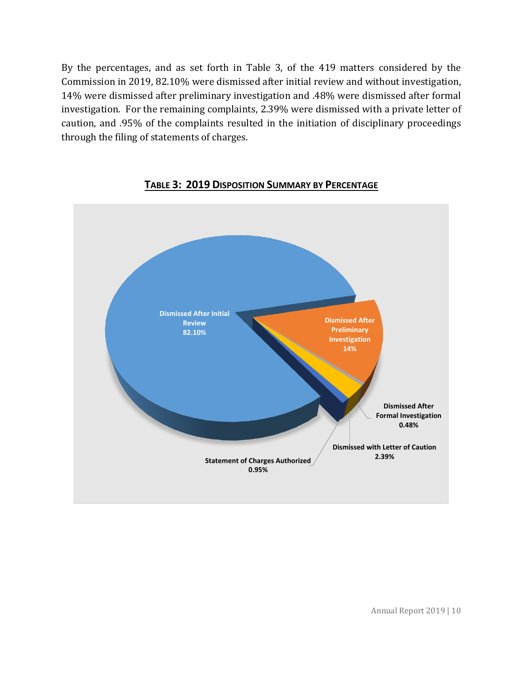By the percentages, and as set forth in Table 3, of the 419 matters considered by the Commission in 2019, 82.10% were dismissed after initial review and without investigation, 14% were dismissed after preliminary investigation and .48% were dismissed after formal investigation. For the remaining complaints, 2.39% were dismissed with a private letter of caution, and .95% of the complaints resulted in the initiation of disciplinary proceedings through the filing of statements of charges.



#### **TABLE 3: 2019 DISPOSITION SUMMARY BY PERCENTAGE**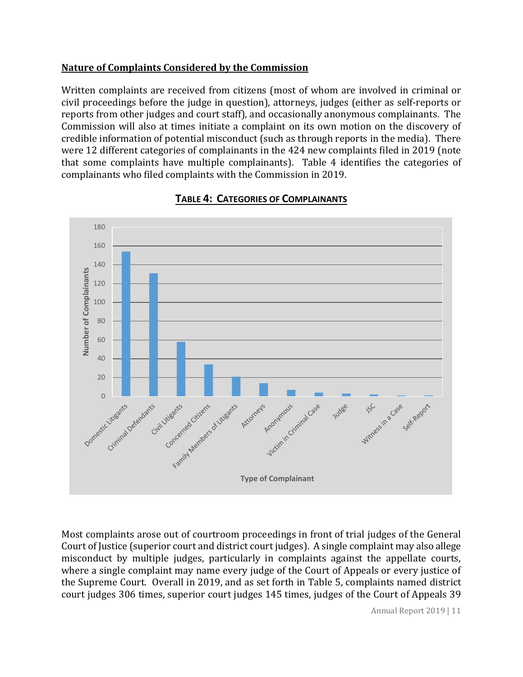#### **Nature of Complaints Considered by the Commission**

Written complaints are received from citizens (most of whom are involved in criminal or civil proceedings before the judge in question), attorneys, judges (either as self-reports or reports from other judges and court staff), and occasionally anonymous complainants. The Commission will also at times initiate a complaint on its own motion on the discovery of credible information of potential misconduct (such as through reports in the media). There were 12 different categories of complainants in the 424 new complaints filed in 2019 (note that some complaints have multiple complainants). Table 4 identifies the categories of complainants who filed complaints with the Commission in 2019.



#### **TABLE 4: CATEGORIES OF COMPLAINANTS**

Most complaints arose out of courtroom proceedings in front of trial judges of the General Court of Justice (superior court and district court judges). A single complaint may also allege misconduct by multiple judges, particularly in complaints against the appellate courts, where a single complaint may name every judge of the Court of Appeals or every justice of the Supreme Court. Overall in 2019, and as set forth in Table 5, complaints named district court judges 306 times, superior court judges 145 times, judges of the Court of Appeals 39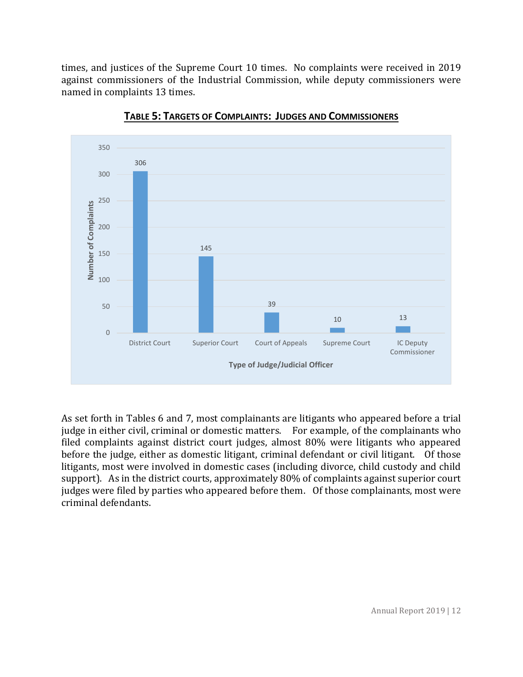times, and justices of the Supreme Court 10 times. No complaints were received in 2019 against commissioners of the Industrial Commission, while deputy commissioners were named in complaints 13 times.



**TABLE 5: TARGETS OF COMPLAINTS: JUDGES AND COMMISSIONERS**

As set forth in Tables 6 and 7, most complainants are litigants who appeared before a trial judge in either civil, criminal or domestic matters. For example, of the complainants who filed complaints against district court judges, almost 80% were litigants who appeared before the judge, either as domestic litigant, criminal defendant or civil litigant. Of those litigants, most were involved in domestic cases (including divorce, child custody and child support). As in the district courts, approximately 80% of complaints against superior court judges were filed by parties who appeared before them. Of those complainants, most were criminal defendants.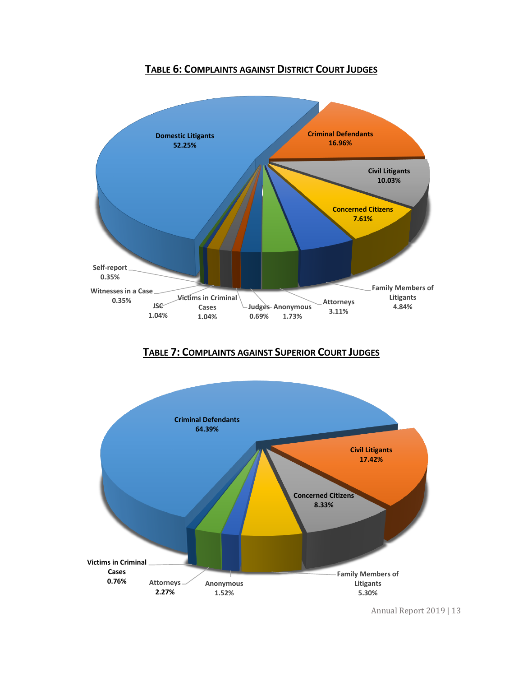#### **TABLE 6: COMPLAINTS AGAINST DISTRICT COURT JUDGES**



#### **TABLE 7: COMPLAINTS AGAINST SUPERIOR COURT JUDGES**



Annual Report 2019 | 13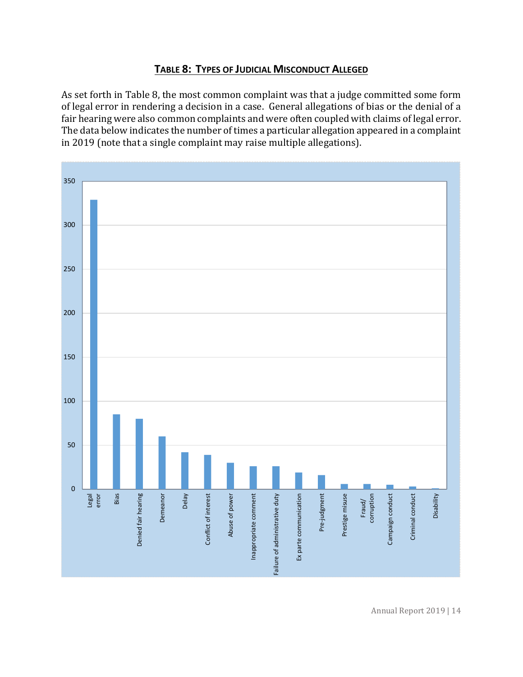#### **TABLE 8: TYPES OF JUDICIAL MISCONDUCT ALLEGED**

As set forth in Table 8, the most common complaint was that a judge committed some form of legal error in rendering a decision in a case. General allegations of bias or the denial of a fair hearing were also common complaints and were often coupled with claims of legal error. The data below indicates the number of times a particular allegation appeared in a complaint in 2019 (note that a single complaint may raise multiple allegations).

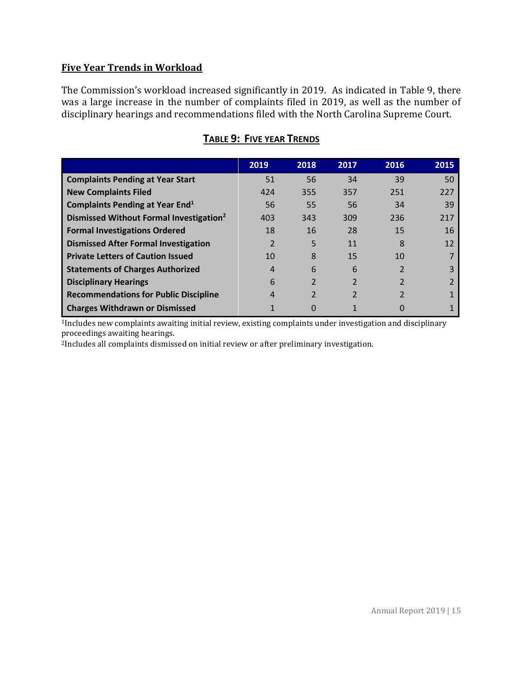#### **Five Year Trends in Workload**

The Commission's workload increased significantly in 2019. As indicated in Table 9, there was a large increase in the number of complaints filed in 2019, as well as the number of disciplinary hearings and recommendations filed with the North Carolina Supreme Court.

|                                                     | 2019 | 2018                     | 2017 | 2016 | 2015 |
|-----------------------------------------------------|------|--------------------------|------|------|------|
| <b>Complaints Pending at Year Start</b>             | 51   | 56                       | 34   | 39   | 50   |
| <b>New Complaints Filed</b>                         | 424  | 355                      | 357  | 251  | 227  |
| <b>Complaints Pending at Year End</b> <sup>1</sup>  | 56   | 55                       | 56   | 34   | 39   |
| Dismissed Without Formal Investigation <sup>2</sup> | 403  | 343                      | 309  | 236  | 217  |
| <b>Formal Investigations Ordered</b>                | 18   | 16                       | 28   | 15   | 16   |
| <b>Dismissed After Formal Investigation</b>         |      | 5                        | 11   | 8    | 12   |
| <b>Private Letters of Caution Issued</b>            | 10   | 8                        | 15   | 10   |      |
| <b>Statements of Charges Authorized</b>             | 4    | 6                        | 6    |      |      |
| <b>Disciplinary Hearings</b>                        | 6    | $\overline{\mathcal{L}}$ |      |      |      |
| <b>Recommendations for Public Discipline</b>        | 4    | $\overline{2}$           |      |      |      |
| <b>Charges Withdrawn or Dismissed</b>               |      |                          |      |      |      |

#### **TABLE 9: FIVE YEAR TRENDS**

<sup>1</sup>Includes new complaints awaiting initial review, existing complaints under investigation and disciplinary proceedings awaiting hearings.

2Includes all complaints dismissed on initial review or after preliminary investigation.